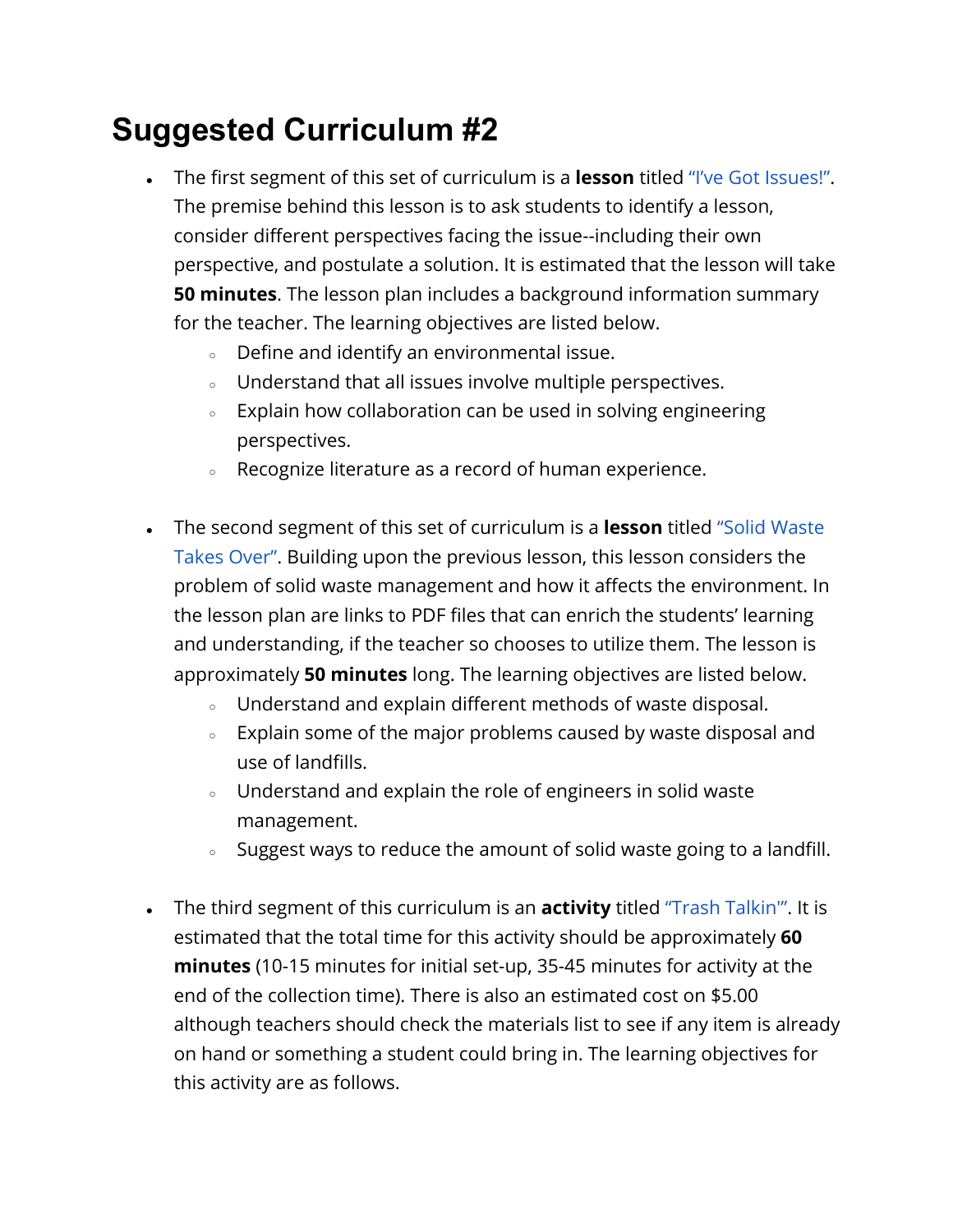## **Suggested Curriculum #2**

- The first segment of this set of curriculum is a **lesson** titled ["I've Got Issues!"](https://www.teachengineering.org/lessons/view/cub_environ_lesson02). The premise behind this lesson is to ask students to identify a lesson, consider different perspectives facing the issue--including their own perspective, and postulate a solution. It is estimated that the lesson will take **50 minutes**. The lesson plan includes a background information summary for the teacher. The learning objectives are listed below.
	- Define and identify an environmental issue.
	- Understand that all issues involve multiple perspectives.
	- Explain how collaboration can be used in solving engineering perspectives.
	- Recognize literature as a record of human experience.
- The second segment of this set of curriculum is a **lesson** titled ["Solid Waste](https://www.teachengineering.org/lessons/view/cub_environ_lesson04) [Takes Over"](https://www.teachengineering.org/lessons/view/cub_environ_lesson04). Building upon the previous lesson, this lesson considers the problem of solid waste management and how it affects the environment. In the lesson plan are links to PDF files that can enrich the students' learning and understanding, if the teacher so chooses to utilize them. The lesson is approximately **50 minutes** long. The learning objectives are listed below.
	- Understand and explain different methods of waste disposal.
	- Explain some of the major problems caused by waste disposal and use of landfills.
	- Understand and explain the role of engineers in solid waste management.
	- Suggest ways to reduce the amount of solid waste going to a landfill.
- The third segment of this curriculum is an **activity** titled ["Trash Talkin'"](https://www.teachengineering.org/activities/view/cub_environ_lesson04_activity1). It is estimated that the total time for this activity should be approximately **60 minutes** (10-15 minutes for initial set-up, 35-45 minutes for activity at the end of the collection time). There is also an estimated cost on \$5.00 although teachers should check the materials list to see if any item is already on hand or something a student could bring in. The learning objectives for this activity are as follows.